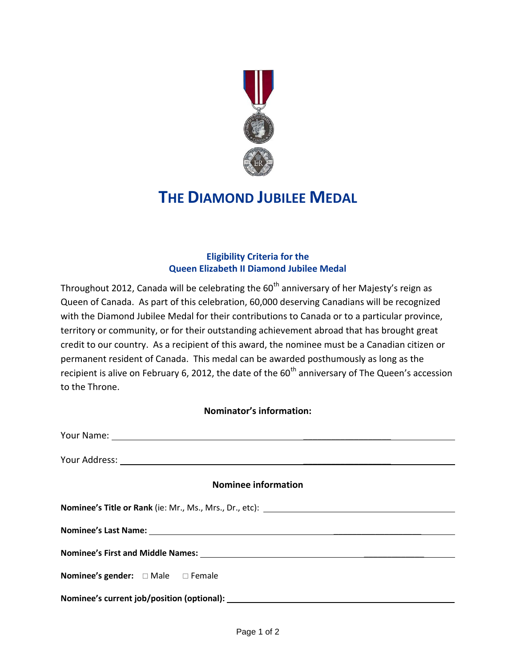

## **THE DIAMOND JUBILEE MEDAL**

## **Eligibility Criteria for the Queen Elizabeth II Diamond Jubilee Medal**

Throughout 2012, Canada will be celebrating the  $60<sup>th</sup>$  anniversary of her Majesty's reign as Queen of Canada. As part of this celebration, 60,000 deserving Canadians will be recognized with the Diamond Jubilee Medal for their contributions to Canada or to a particular province, territory or community, or for their outstanding achievement abroad that has brought great credit to our country. As a recipient of this award, the nominee must be a Canadian citizen or permanent resident of Canada. This medal can be awarded posthumously as long as the recipient is alive on February 6, 2012, the date of the 60<sup>th</sup> anniversary of The Queen's accession to the Throne.

## **Nominator's information:**

| <b>Nominee information</b>                         |
|----------------------------------------------------|
|                                                    |
|                                                    |
|                                                    |
| <b>Nominee's gender:</b> $\Box$ Male $\Box$ Female |
|                                                    |